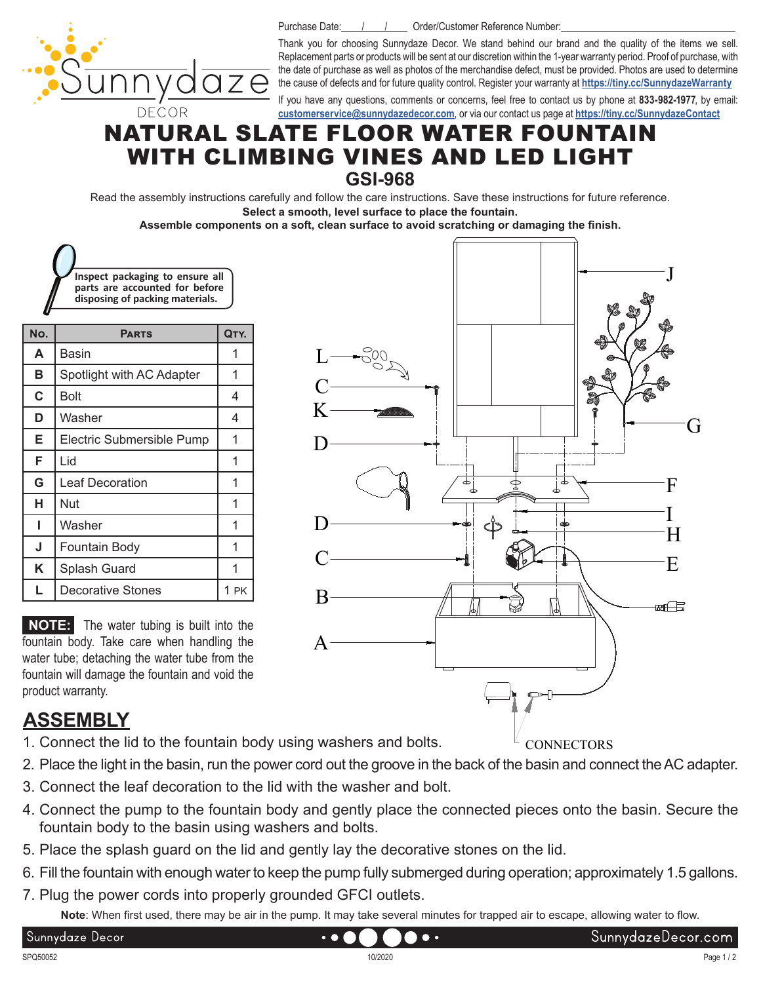

Purchase Date: / / / Order/Customer Reference Number:

Thank you for choosing Sunnydaze Decor. We stand behind our brand and the quality of the items we sell. Replacement parts or products will be sent at our discretion within the 1-year warranty period. Proof of purchase, with the date of purchase as well as photos of the merchandise defect, must be provided. Photos are used to determine the cause of defects and for future quality control. Register your warranty at **<https://tiny.cc/SunnydazeWarranty>**

If you have any questions, comments or concerns, feel free to contact us by phone at **833-982-1977**, by email: **[customerservice@sunnydazedecor.com](mailto:customerservice%40sunnydazedecor.com?subject=)**, or via our contact us page at **<https://tiny.cc/SunnydazeContact>**

#### NATURAL SLATE FLOOR WATER FOUNTAIN WITH CLIMBING VINES AND LED LIGHT **GSI-968**

Read the assembly instructions carefully and follow the care instructions. Save these instructions for future reference. **Select a smooth, level surface to place the fountain.**

**Assemble components on a soft, clean surface to avoid scratching or damaging the finish.**

K

 $\mathcal{C}$ 

D

L

| Inspect packaging to ensure all<br>parts are accounted for before<br>disposing of packing materials. |  |
|------------------------------------------------------------------------------------------------------|--|

| No. | <b>PARTS</b>              | QTY.           |
|-----|---------------------------|----------------|
| A   | Basin                     |                |
| в   | Spotlight with AC Adapter |                |
| C   | Bolt                      | 4              |
| D   | Washer                    | 4              |
| E   | Electric Submersible Pump |                |
| F   | Lid                       | 1              |
| G   | <b>Leaf Decoration</b>    | 1              |
| н   | Nut                       | 1              |
|     | Washer                    | 1              |
| J   | Fountain Body             | 1              |
| Κ   | Splash Guard              |                |
|     | Decorative Stones         | 1<br><b>PK</b> |

**NOTE:** The water tubing is built into the fountain body. Take care when handling the water tube; detaching the water tube from the fountain will damage the fountain and void the product warranty.

### **ASSEMBLY**

- 1. Connect the lid to the fountain body using washers and bolts.
- 2. Place the light in the basin, run the power cord out the groove in the back of the basin and connect the AC adapter.
- 3. Connect the leaf decoration to the lid with the washer and bolt.
- 4. Connect the pump to the fountain body and gently place the connected pieces onto the basin. Secure the fountain body to the basin using washers and bolts.
- 5. Place the splash guard on the lid and gently lay the decorative stones on the lid.

 $\bullet$   $\bullet$ 

- 6. Fill the fountain with enough water to keep the pump fully submerged during operation; approximately 1.5 gallons.
- 7. Plug the power cords into properly grounded GFCI outlets.

**Note**: When first used, there may be air in the pump. It may take several minutes for trapped air to escape, allowing water to flow.



Sunnydaze Decor

**Do** -

E

æf⊟

F

I H G

J

**CONNECTORS**